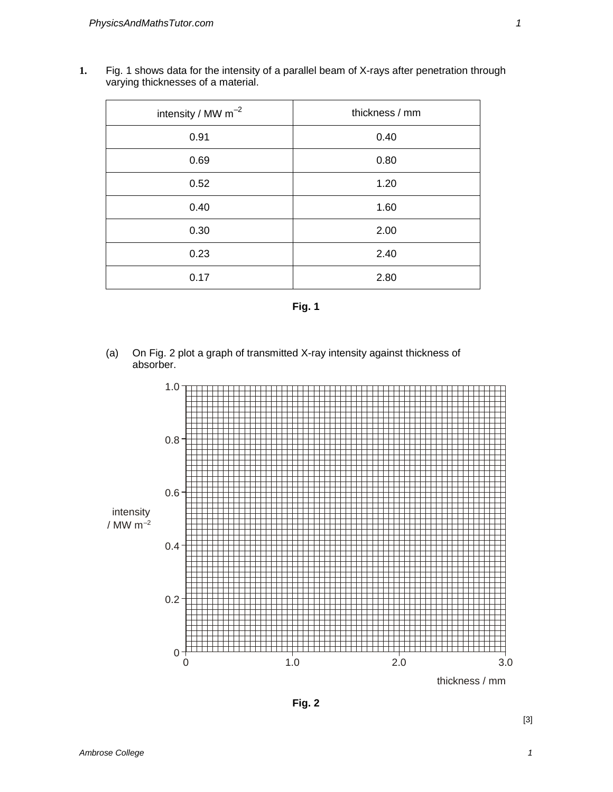**1.** Fig. 1 shows data for the intensity of a parallel beam of X-rays after penetration through varying thicknesses of a material.

| intensity / MW $m^{-2}$ | thickness / mm |
|-------------------------|----------------|
| 0.91                    | 0.40           |
| 0.69                    | 0.80           |
| 0.52                    | 1.20           |
| 0.40                    | 1.60           |
| 0.30                    | 2.00           |
| 0.23                    | 2.40           |
| 0.17                    | 2.80           |

**Fig. 1** 

(a) On Fig. 2 plot a graph of transmitted X-ray intensity against thickness of absorber.



thickness / mm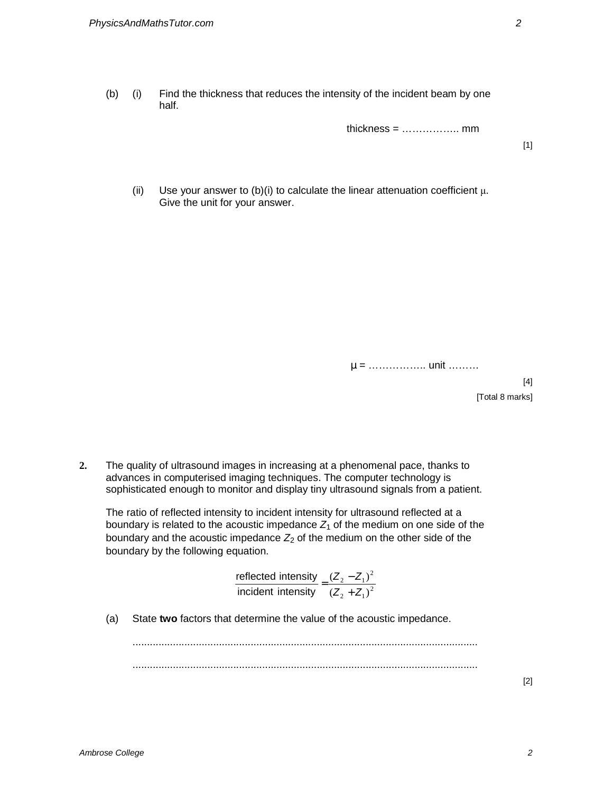(b) (i) Find the thickness that reduces the intensity of the incident beam by one half.

thickness = …………….. mm

[1]

(ii) Use your answer to (b)(i) to calculate the linear attenuation coefficient  $\mu$ . Give the unit for your answer.

µ = …………….. unit ………

 $[4]$ 

[Total 8 marks]

**2.** The quality of ultrasound images in increasing at a phenomenal pace, thanks to advances in computerised imaging techniques. The computer technology is sophisticated enough to monitor and display tiny ultrasound signals from a patient.

The ratio of reflected intensity to incident intensity for ultrasound reflected at a boundary is related to the acoustic impedance  $Z_1$  of the medium on one side of the boundary and the acoustic impedance  $Z_2$  of the medium on the other side of the boundary by the following equation.

reflected intensity  
incident intensity 
$$
=
$$
  $\frac{(Z_2 - Z_1)^2}{(Z_2 + Z_1)^2}$ 

(a) State **two** factors that determine the value of the acoustic impedance.

........................................................................................................................ ........................................................................................................................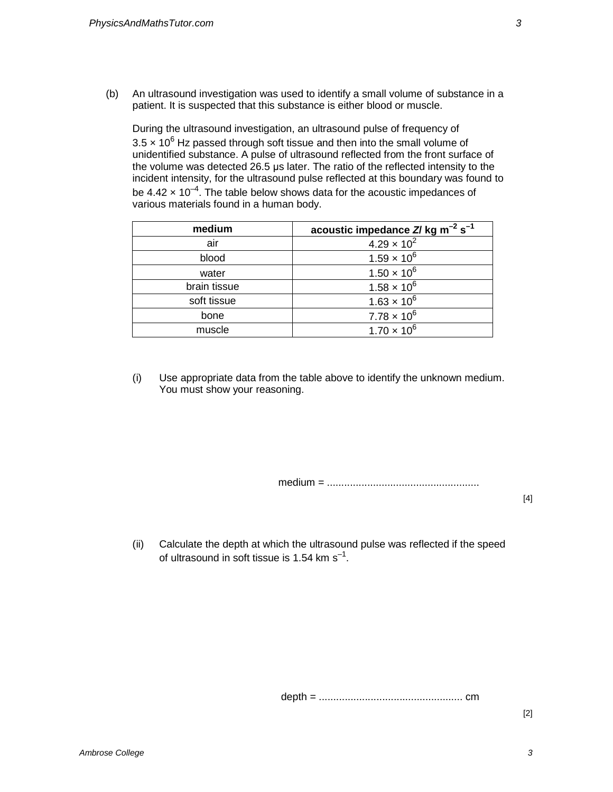(b) An ultrasound investigation was used to identify a small volume of substance in a patient. It is suspected that this substance is either blood or muscle.

During the ultrasound investigation, an ultrasound pulse of frequency of 3.5  $\times$  10<sup>6</sup> Hz passed through soft tissue and then into the small volume of unidentified substance. A pulse of ultrasound reflected from the front surface of the volume was detected 26.5 µs later. The ratio of the reflected intensity to the incident intensity, for the ultrasound pulse reflected at this boundary was found to be 4.42  $\times$  10<sup>-4</sup>. The table below shows data for the acoustic impedances of various materials found in a human body.

| medium       | acoustic impedance $Z/\log m^{-2} s^{-1}$ |
|--------------|-------------------------------------------|
| air          | $4.29 \times 10^{2}$                      |
| blood        | $1.59 \times 10^{6}$                      |
| water        | $1.50 \times 10^{6}$                      |
| brain tissue | $1.58 \times 10^{6}$                      |
| soft tissue  | $1.63 \times 10^{6}$                      |
| bone         | $7.78 \times 10^{6}$                      |
| muscle       | $1.70 \times 10^{6}$                      |

(i) Use appropriate data from the table above to identify the unknown medium. You must show your reasoning.

medium = .....................................................

 $[4]$ 

(ii) Calculate the depth at which the ultrasound pulse was reflected if the speed of ultrasound in soft tissue is 1.54 km s<sup>-1</sup>.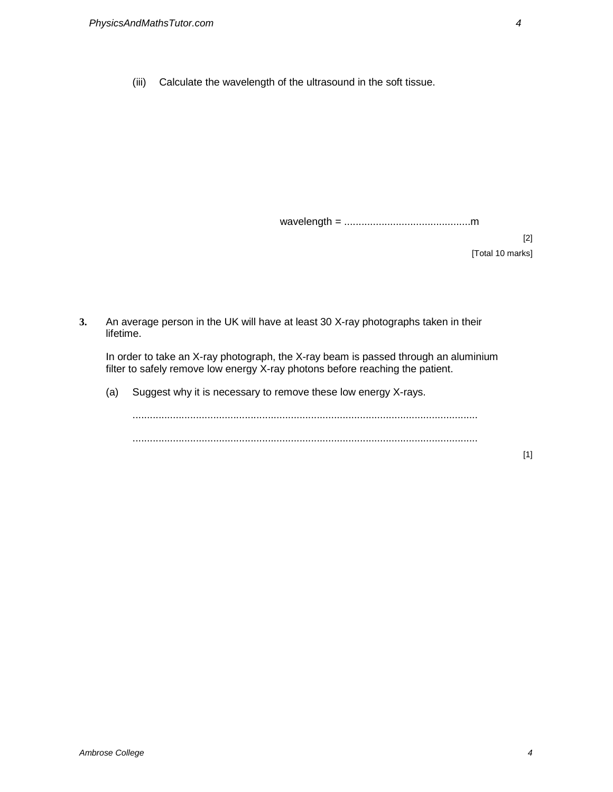(iii) Calculate the wavelength of the ultrasound in the soft tissue.

wavelength = ............................................m

[2] [Total 10 marks]

**3.** An average person in the UK will have at least 30 X-ray photographs taken in their lifetime.

In order to take an X-ray photograph, the X-ray beam is passed through an aluminium filter to safely remove low energy X-ray photons before reaching the patient.

(a) Suggest why it is necessary to remove these low energy X-rays.

........................................................................................................................ ........................................................................................................................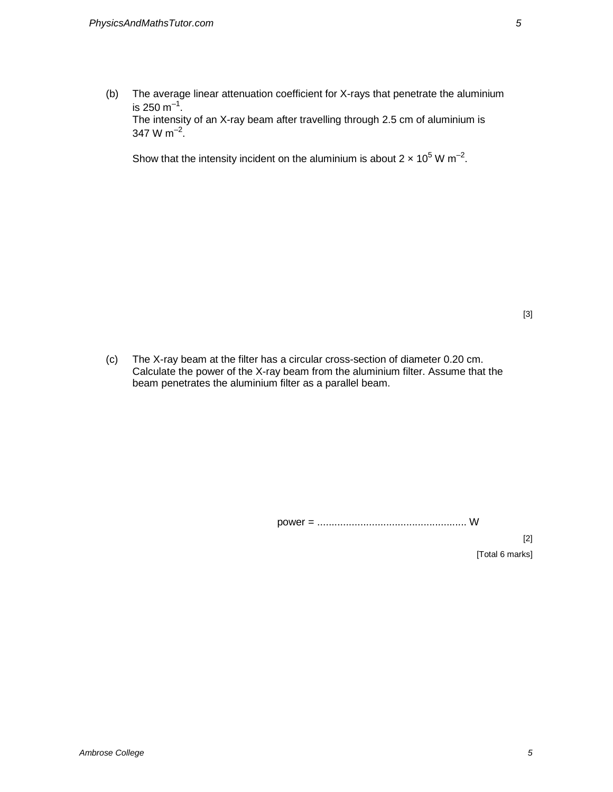(b) The average linear attenuation coefficient for X-rays that penetrate the aluminium is 250 m $^{-1}$ . The intensity of an X-ray beam after travelling through 2.5 cm of aluminium is 347 W m<sup>-2</sup>.

Show that the intensity incident on the aluminium is about 2  $\times$  10<sup>5</sup> W m<sup>-2</sup>.

(c) The X-ray beam at the filter has a circular cross-section of diameter 0.20 cm. Calculate the power of the X-ray beam from the aluminium filter. Assume that the beam penetrates the aluminium filter as a parallel beam.

power = .................................................... W

[2] [Total 6 marks]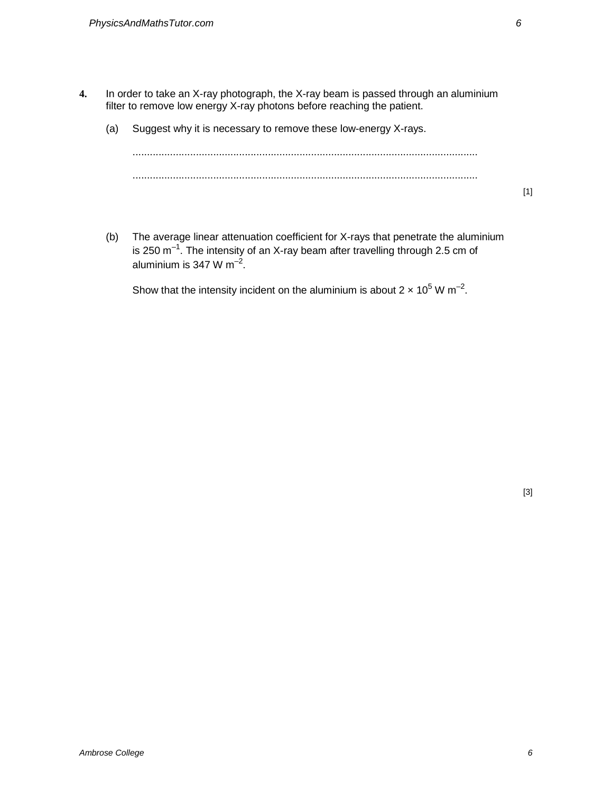- **4.** In order to take an X-ray photograph, the X-ray beam is passed through an aluminium filter to remove low energy X-ray photons before reaching the patient.
	- (a) Suggest why it is necessary to remove these low-energy X-rays.

........................................................................................................................ ........................................................................................................................

[1]

(b) The average linear attenuation coefficient for X-rays that penetrate the aluminium is 250  $m^{-1}$ . The intensity of an X-ray beam after travelling through 2.5 cm of aluminium is 347 W m $^{-2}$ .

Show that the intensity incident on the aluminium is about 2  $\times$  10<sup>5</sup> W m<sup>-2</sup>.

[3]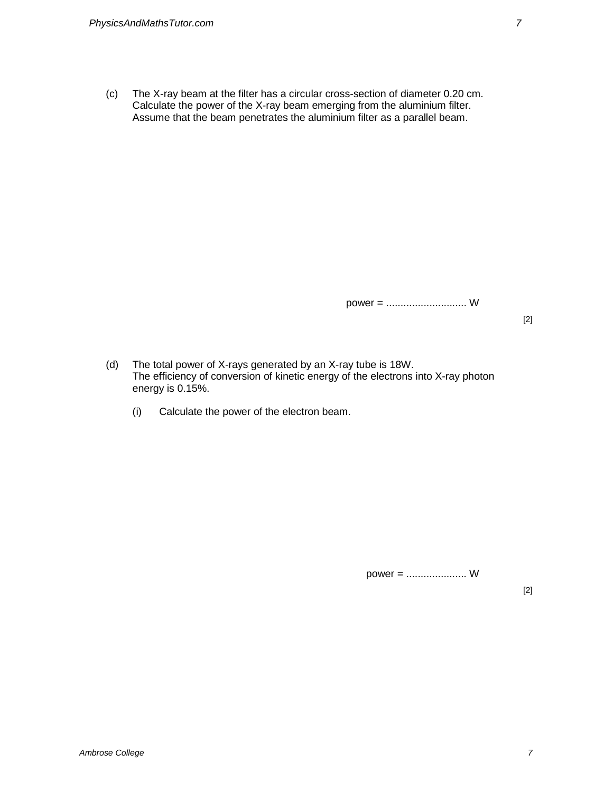(c) The X-ray beam at the filter has a circular cross-section of diameter 0.20 cm. Calculate the power of the X-ray beam emerging from the aluminium filter. Assume that the beam penetrates the aluminium filter as a parallel beam.

power = ............................ W

[2]

- (d) The total power of X-rays generated by an X-ray tube is 18W. The efficiency of conversion of kinetic energy of the electrons into X-ray photon energy is 0.15%.
	- (i) Calculate the power of the electron beam.

power = ..................... W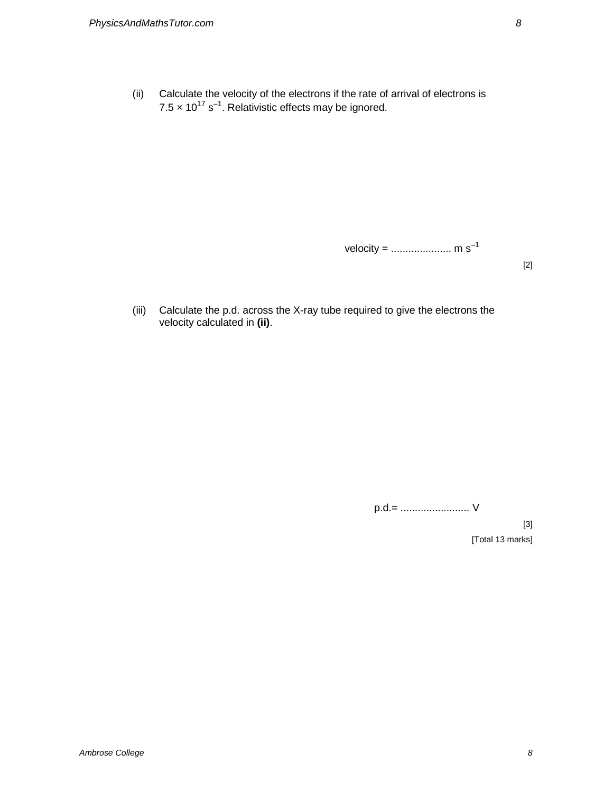(ii) Calculate the velocity of the electrons if the rate of arrival of electrons is  $7.5 \times 10^{17}$  s<sup>-1</sup>. Relativistic effects may be ignored.

velocity = ..................... m s–1

[2]

(iii) Calculate the p.d. across the X-ray tube required to give the electrons the velocity calculated in **(ii)**.

p.d.= ........................ V

[3] [Total 13 marks]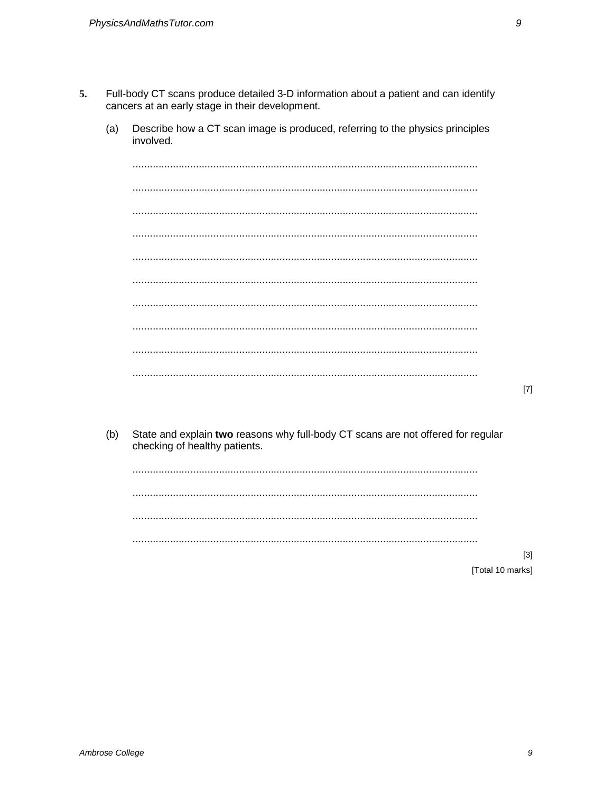- 5. Full-body CT scans produce detailed 3-D information about a patient and can identify cancers at an early stage in their development.
	- $(a)$ Describe how a CT scan image is produced, referring to the physics principles involved.

State and explain two reasons why full-body CT scans are not offered for regular  $(b)$ checking of healthy patients.

 $[3]$ [Total 10 marks]

 $[7]$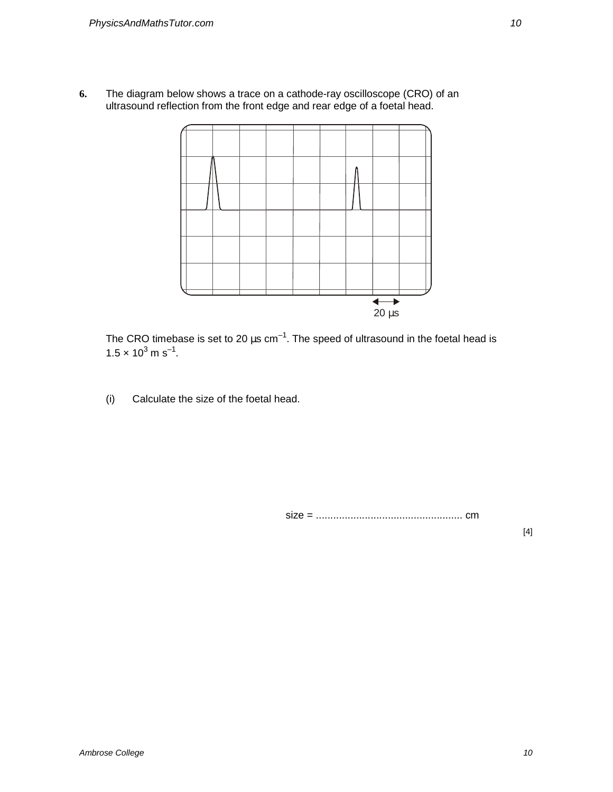**6.** The diagram below shows a trace on a cathode-ray oscilloscope (CRO) of an ultrasound reflection from the front edge and rear edge of a foetal head.



The CRO timebase is set to 20  $\mu$ s cm<sup>-1</sup>. The speed of ultrasound in the foetal head is  $1.5 \times 10^3$  m s<sup>-1</sup>.

(i) Calculate the size of the foetal head.

size = ................................................... cm

[4]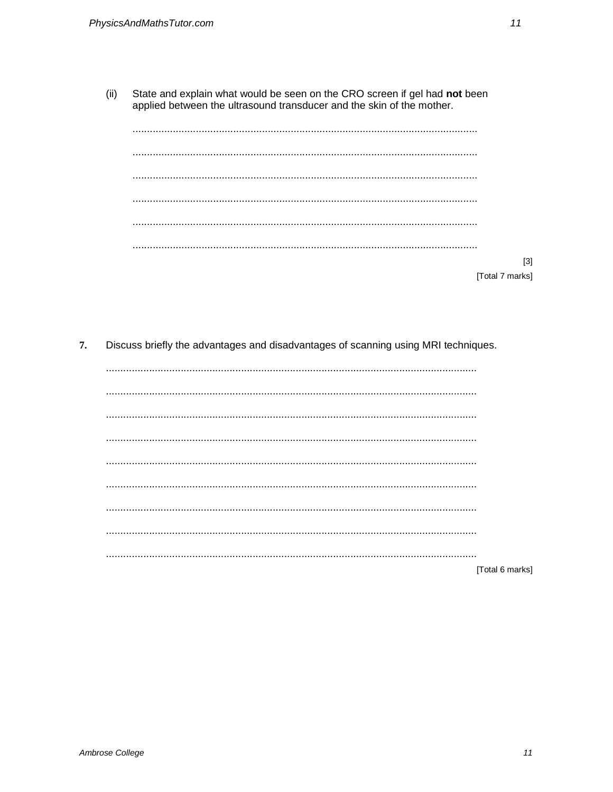State and explain what would be seen on the CRO screen if gel had not been  $(ii)$ applied between the ultrasound transducer and the skin of the mother.

| <br>            |
|-----------------|
|                 |
|                 |
|                 |
| [3]             |
| [Total 7 marks] |

7. Discuss briefly the advantages and disadvantages of scanning using MRI techniques.

| [Total 6 marks] |
|-----------------|